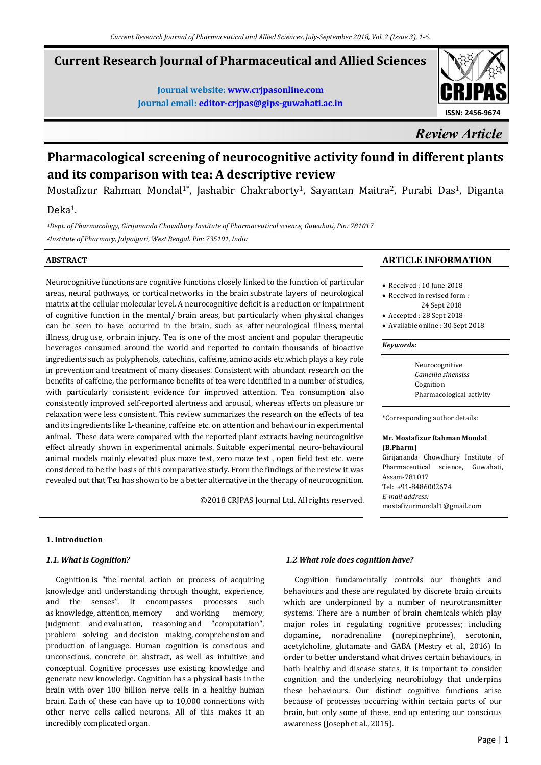# **Current Research Journal of Pharmaceutical and Allied Sciences**

**Journal website: www.crjpasonline.com Journal email: editor-crjpas@gips-guwahati.ac.in** 



*Review Article*

# **Pharmacological screening of neurocognitive activity found in different plants and its comparison with tea: A descriptive review**

Mostafizur Rahman Mondal<sup>1\*</sup>, Jashabir Chakraborty<sup>1</sup>, Sayantan Maitra<sup>2</sup>, Purabi Das<sup>1</sup>, Diganta

Deka<sup>1</sup>.

*<sup>1</sup>Dept. of Pharmacology, Girijananda Chowdhury Institute of Pharmaceutical science, Guwahati, Pin: 781017 <sup>2</sup>Institute of Pharmacy, Jalpaiguri, West Bengal. Pin: 735101, India* 

# **ABSTRACT**

Neurocognitive functions are cognitive functions closely linked to the function of particular areas, neural pathways, or cortical networks in the brain substrate layers of neurological matrix at the cellular molecular level. A neurocognitive deficit is a reduction or impairment of cognitive function in the mental/ brain areas, but particularly when physical changes can be seen to have occurred in the brain, such as after neurological illness, mental illness, drug use, or brain injury. Tea is one of the most ancient and popular therapeutic beverages consumed around the world and reported to contain thousands of bioactive ingredients such as polyphenols, catechins, caffeine, amino acids etc.which plays a key role in prevention and treatment of many diseases. Consistent with abundant research on the benefits of caffeine, the performance benefits of tea were identified in a number of studies, with particularly consistent evidence for improved attention. Tea consumption also consistently improved self-reported alertness and arousal, whereas effects on pleasure or relaxation were less consistent. This review summarizes the research on the effects of tea and its ingredients like L-theanine, caffeine etc. on attention and behaviour in experimental animal. These data were compared with the reported plant extracts having neurcognitive effect already shown in experimental animals. Suitable experimental neuro-behavioural animal models mainly elevated plus maze test, zero maze test , open field test etc. were considered to be the basis of this comparative study. From the findings of the review it was revealed out that Tea has shown to be a better alternative in the therapy of neurocognition.

©2018 CRJPAS Journal Ltd. All rights reserved.

# **ARTICLE INFORMATION**

- Received : 10 June 2018
- Received in revised form :
	- 24 Sept 2018
- Accepted : 28 Sept 2018
- Available online : 30 Sept 2018

#### *Keywords:*

| Neurocognitive           |
|--------------------------|
| Camellia sinensiss       |
| Cognition                |
| Pharmacological activity |
|                          |

\*Corresponding author details:

#### **Mr. Mostafizur Rahman Mondal (B.Pharm)**

Girijananda Chowdhury Institute of Pharmaceutical science, Guwahati, Assam-781017 Tel: +91-8486002674 *E-mail address:* mostafizurmondal1@gmail.com

# **1. Introduction**

# *1.1. What is Cognition?*

 Cognition is "the mental action or process of acquiring knowledge and understanding through thought, experience, and the senses". It encompasses processes such as knowledge, attention, memory and working memory, judgment and evaluation, reasoning and "computation", problem solving and decision making, comprehension and production of language. Human cognition is conscious and unconscious, concrete or abstract, as well as intuitive and conceptual. Cognitive processes use existing knowledge and generate new knowledge. Cognition has a physical basis in the brain with over 100 billion nerve cells in a healthy human brain. Each of these can have up to 10,000 connections with other nerve cells called neurons. All of this makes it an incredibly complicated organ.

# *1.2 What role does cognition have?*

 Cognition fundamentally controls our thoughts and behaviours and these are regulated by discrete brain circuits which are underpinned by a number of neurotransmitter systems. There are a number of brain chemicals which play major roles in regulating cognitive processes; including dopamine, noradrenaline (norepinephrine), serotonin, acetylcholine, glutamate and GABA (Mestry et al., 2016) In order to better understand what drives certain behaviours, in both healthy and disease states, it is important to consider cognition and the underlying neurobiology that underpins these behaviours. Our distinct cognitive functions arise because of processes occurring within certain parts of our brain, but only some of these, end up entering our conscious awareness (Josephet al., 2015).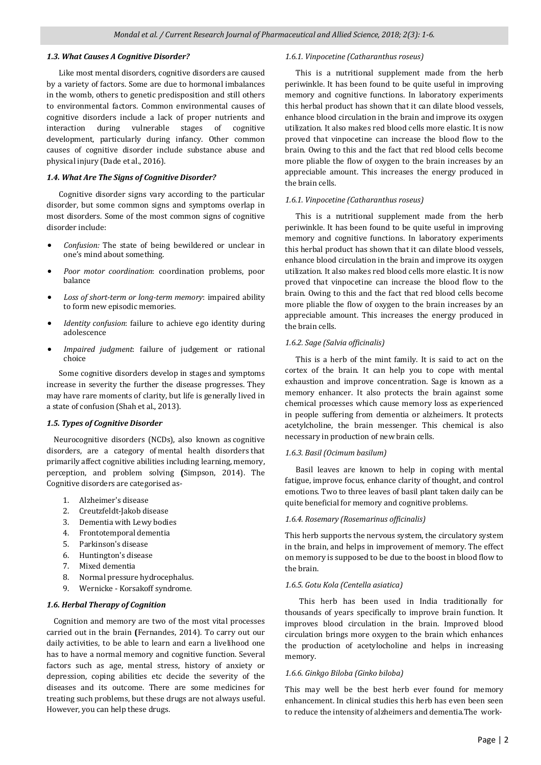# *1.3. What Causes A Cognitive Disorder?*

 Like most mental disorders, cognitive disorders are caused by a variety of factors. Some are due to hormonal imbalances in the womb, others to genetic predisposition and still others to environmental factors. Common environmental causes of cognitive disorders include a lack of proper nutrients and interaction during vulnerable stages of cognitive development, particularly during infancy. Other common causes of cognitive disorder include substance abuse and physical injury (Dade et al., 2016).

# *1.4. What Are The Signs of Cognitive Disorder?*

 Cognitive disorder signs vary according to the particular disorder, but some common signs and symptoms overlap in most disorders. Some of the most common signs of cognitive disorder include:

- *Confusion:* The state of being bewildered or unclear in one's mind about something.
- *Poor motor coordination*: coordination problems, poor balance
- *Loss of short-term or long-term memory*: impaired ability to form new episodic memories.
- *Identity confusion*: failure to achieve ego identity during adolescence
- *Impaired judgment*: failure of judgement or rational choice

 Some cognitive disorders develop in stages and symptoms increase in severity the further the disease progresses. They may have rare moments of clarity, but life is generally lived in a state of confusion (Shah et al., 2013).

# *1.5. Types of Cognitive Disorder*

 Neurocognitive disorders (NCDs), also known as cognitive disorders, are a category of mental health disorders that primarily affect cognitive abilities including learning, memory, perception, and problem solving **(**Simpson, 2014). The Cognitive disorders are categorised as-

- 1. Alzheimer's disease
- 2. Creutzfeldt-Jakob disease
- 3. Dementia with Lewy bodies
- 4. Frontotemporal dementia
- 5. Parkinson's disease
- 6. Huntington's disease
- 7. Mixed dementia
- 8. Normal pressure hydrocephalus.
- 9. Wernicke Korsakoff syndrome*.*

# *1.6. Herbal Therapy of Cognition*

 Cognition and memory are two of the most vital processes carried out in the brain **(**Fernandes, 2014). To carry out our daily activities, to be able to learn and earn a livelihood one has to have a normal memory and cognitive function. Several factors such as age, mental stress, history of anxiety or depression, coping abilities etc decide the severity of the diseases and its outcome. There are some medicines for treating such problems, but these drugs are not always useful. However, you can help these drugs.

# *1.6.1. Vinpocetine (Catharanthus roseus)*

 This is a nutritional supplement made from the herb periwinkle. It has been found to be quite useful in improving memory and cognitive functions. In laboratory experiments this herbal product has shown that it can dilate blood vessels, enhance blood circulation in the brain and improve its oxygen utilization. It also makes red blood cells more elastic. It is now proved that vinpocetine can increase the blood flow to the brain. Owing to this and the fact that red blood cells become more pliable the flow of oxygen to the brain increases by an appreciable amount. This increases the energy produced in the brain cells.

# *1.6.1. Vinpocetine (Catharanthus roseus)*

 This is a nutritional supplement made from the herb periwinkle. It has been found to be quite useful in improving memory and cognitive functions. In laboratory experiments this herbal product has shown that it can dilate blood vessels, enhance blood circulation in the brain and improve its oxygen utilization. It also makes red blood cells more elastic. It is now proved that vinpocetine can increase the blood flow to the brain. Owing to this and the fact that red blood cells become more pliable the flow of oxygen to the brain increases by an appreciable amount. This increases the energy produced in the brain cells.

# *1.6.2. Sage (Salvia officinalis)*

 This is a herb of the mint family. It is said to act on the cortex of the brain. It can help you to cope with mental exhaustion and improve concentration. Sage is known as a memory enhancer. It also protects the brain against some chemical processes which cause memory loss as experienced in people suffering from dementia or alzheimers. It protects acetylcholine, the brain messenger. This chemical is also necessary in production of new brain cells.

# *1.6.3. Basil (Ocimum basilum)*

 Basil leaves are known to help in coping with mental fatigue, improve focus, enhance clarity of thought, and control emotions. Two to three leaves of basil plant taken daily can be quite beneficial for memory and cognitive problems.

# *1.6.4. Rosemary (Rosemarinus officinalis)*

This herb supports the nervous system, the circulatory system in the brain, and helps in improvement of memory. The effect on memory is supposed to be due to the boost in blood flow to the brain.

# *1.6.5. Gotu Kola (Centella asiatica)*

 This herb has been used in India traditionally for thousands of years specifically to improve brain function. It improves blood circulation in the brain. Improved blood circulation brings more oxygen to the brain which enhances the production of acetylocholine and helps in increasing memory.

# *1.6.6. Ginkgo Biloba (Ginko biloba)*

This may well be the best herb ever found for memory enhancement. In clinical studies this herb has even been seen to reduce the intensity of alzheimers and dementia.The work-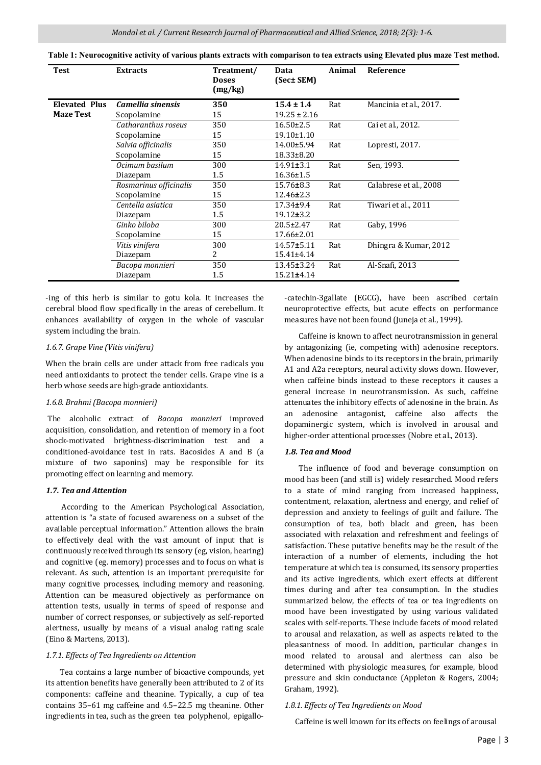| Test                 | <b>Extracts</b>        | Treatment/<br><b>Doses</b><br>(mg/kg) | Data<br>(Sec± SEM) | Animal | Reference              |
|----------------------|------------------------|---------------------------------------|--------------------|--------|------------------------|
| <b>Elevated Plus</b> | Camellia sinensis      | 350                                   | $15.4 \pm 1.4$     | Rat    | Mancinia et al., 2017. |
| <b>Maze Test</b>     | Scopolamine            | 15                                    | $19.25 \pm 2.16$   |        |                        |
|                      | Catharanthus roseus    | 350                                   | $16.50 \pm 2.5$    | Rat    | Cai et al., 2012.      |
|                      | Scopolamine            | 15                                    | $19.10 \pm 1.10$   |        |                        |
|                      | Salvia officinalis     | 350                                   | 14.00±5.94         | Rat    | Lopresti, 2017.        |
|                      | Scopolamine            | 15                                    | $18.33 \pm 8.20$   |        |                        |
|                      | Ocimum basilum         | 300                                   | $14.91 \pm 3.1$    | Rat    | Sen, 1993.             |
|                      | Diazepam               | 1.5                                   | $16.36 \pm 1.5$    |        |                        |
|                      | Rosmarinus officinalis | 350                                   | $15.76 \pm 8.3$    | Rat    | Calabrese et al., 2008 |
|                      | Scopolamine            | 15                                    | $12.46 \pm 2.3$    |        |                        |
|                      | Centella asiatica      | 350                                   | $17.34 \pm 9.4$    | Rat    | Tiwari et al., 2011    |
|                      | Diazepam               | 1.5                                   | $19.12 \pm 3.2$    |        |                        |
|                      | Ginko biloba           | 300                                   | $20.5 \pm 2.47$    | Rat    | Gaby, 1996             |
|                      | Scopolamine            | 15                                    | 17.66±2.01         |        |                        |
|                      | Vitis vinifera         | 300                                   | $14.57 \pm 5.11$   | Rat    | Dhingra & Kumar, 2012  |
|                      | Diazepam               | 2                                     | 15.41±4.14         |        |                        |
|                      | Bacopa monnieri        | 350                                   | 13.45±3.24         | Rat    | Al-Snafi, 2013         |
|                      | Diazepam               | 1.5                                   | 15.21±4.14         |        |                        |

**Table 1: Neurocognitive activity of various plants extracts with comparison to tea extracts using Elevated plus maze Test method.**

-ing of this herb is similar to gotu kola. It increases the cerebral blood flow specifically in the areas of cerebellum. It enhances availability of oxygen in the whole of vascular system including the brain.

#### *1.6.7. Grape Vine (Vitis vinifera)*

When the brain cells are under attack from free radicals you need antioxidants to protect the tender cells. Grape vine is a herb whose seeds are high-grade antioxidants.

#### *1.6.8. Brahmi (Bacopa monnieri)*

 The alcoholic extract of *Bacopa monnieri* improved acquisition, consolidation, and retention of memory in a foot shock-motivated brightness-discrimination test and a conditioned-avoidance test in rats. Bacosides A and B (a mixture of two saponins) may be responsible for its promoting effect on learning and memory.

#### *1.7. Tea and Attention*

 According to the American Psychological Association, attention is "a state of focused awareness on a subset of the available perceptual information." Attention allows the brain to effectively deal with the vast amount of input that is continuously received through its sensory (eg, vision, hearing) and cognitive (eg. memory) processes and to focus on what is relevant. As such, attention is an important prerequisite for many cognitive processes, including memory and reasoning. Attention can be measured objectively as performance on attention tests, usually in terms of speed of response and number of correct responses, or subjectively as self-reported alertness, usually by means of a visual analog rating scale (Eino & Martens, 2013).

# *1.7.1. Effects of Tea Ingredients on Attention*

 Tea contains a large number of bioactive compounds, yet its attention benefits have generally been attributed to 2 of its components: caffeine and theanine. Typically, a cup of tea contains 35–61 mg caffeine and 4.5–22.5 mg theanine. Other ingredients in tea, such as the green tea polyphenol, epigallo-catechin-3gallate (EGCG), have been ascribed certain neuroprotective effects, but acute effects on performance measures have not been found (Juneja et al., 1999).

 Caffeine is known to affect neurotransmission in general by antagonizing (ie, competing with) adenosine receptors. When adenosine binds to its receptors in the brain, primarily A1 and A2a receptors, neural activity slows down. However, when caffeine binds instead to these receptors it causes a general increase in neurotransmission. As such, caffeine attenuates the inhibitory effects of adenosine in the brain. As an adenosine antagonist, caffeine also affects the dopaminergic system, which is involved in arousal and higher-order attentional processes (Nobre et al., 2013).

## *1.8. Tea and Mood*

 The influence of food and beverage consumption on mood has been (and still is) widely researched. Mood refers to a state of mind ranging from increased happiness, contentment, relaxation, alertness and energy, and relief of depression and anxiety to feelings of guilt and failure. The consumption of tea, both black and green, has been associated with relaxation and refreshment and feelings of satisfaction. These putative benefits may be the result of the interaction of a number of elements, including the hot temperature at which tea is consumed, its sensory properties and its active ingredients, which exert effects at different times during and after tea consumption. In the studies summarized below, the effects of tea or tea ingredients on mood have been investigated by using various validated scales with self-reports. These include facets of mood related to arousal and relaxation, as well as aspects related to the pleasantness of mood. In addition, particular changes in mood related to arousal and alertness can also be determined with physiologic measures, for example, blood pressure and skin conductance (Appleton & Rogers, 2004; Graham, 1992).

#### *1.8.1. Effects of Tea Ingredients on Mood*

Caffeine is well known for its effects on feelings of arousal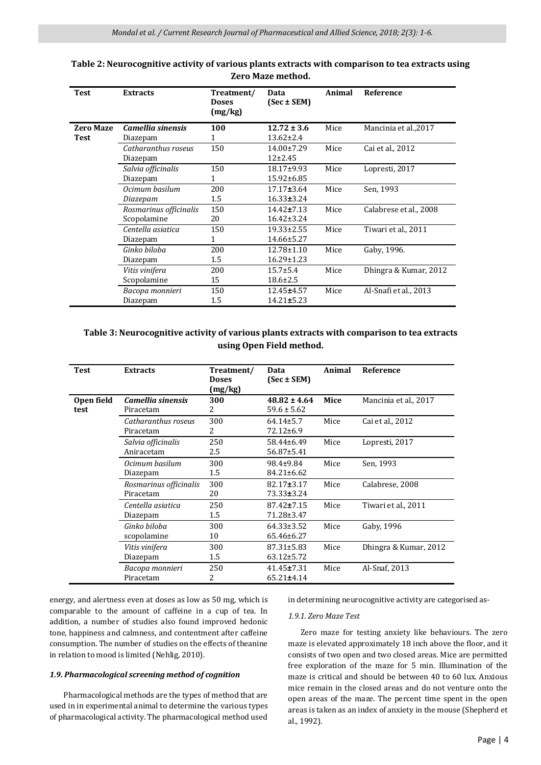| <b>Test</b>      | <b>Extracts</b>                       | Treatment/<br><b>Doses</b><br>(mg/kg) | Data<br>$(Sec \pm SEM)$              | Animal | <b>Reference</b>       |
|------------------|---------------------------------------|---------------------------------------|--------------------------------------|--------|------------------------|
| <b>Zero Maze</b> | Camellia sinensis                     | 100                                   | $12.72 \pm 3.6$                      | Mice   | Mancinia et al., 2017  |
| <b>Test</b>      | Diazepam                              | 1                                     | $13.62 \pm 2.4$                      |        |                        |
|                  | Catharanthus roseus<br>Diazepam       | 150                                   | 14.00±7.29<br>$12+2.45$              | Mice   | Cai et al., 2012       |
|                  | Salvia officinalis<br>Diazepam        | 150<br>1                              | $18.17 \pm 9.93$<br>15.92±6.85       | Mice   | Lopresti, 2017         |
|                  | Ocimum basilum<br>Diazepam            | 200<br>$1.5\,$                        | $17.17 \pm 3.64$<br>$16.33 \pm 3.24$ | Mice   | Sen, 1993              |
|                  | Rosmarinus officinalis<br>Scopolamine | 150<br>20                             | $14.42 \pm 7.13$<br>$16.42 \pm 3.24$ | Mice   | Calabrese et al., 2008 |
|                  | Centella asiatica<br>Diazepam         | 150<br>$\mathbf{1}$                   | $19.33 \pm 2.55$<br>14.66±5.27       | Mice   | Tiwari et al., 2011    |
|                  | Ginko biloba<br>Diazepam              | 200<br>1.5                            | $12.78 \pm 1.10$<br>$16.29 \pm 1.23$ | Mice   | Gaby, 1996.            |
|                  | Vitis vinifera<br>Scopolamine         | 200<br>15                             | $15.7 + 5.4$<br>$18.6 \pm 2.5$       | Mice   | Dhingra & Kumar, 2012  |
|                  | Bacopa monnieri<br>Diazepam           | 150<br>1.5                            | $12.45 \pm 4.57$<br>$14.21 \pm 5.23$ | Mice   | Al-Snafi et al., 2013  |

# **Table 2: Neurocognitive activity of various plants extracts with comparison to tea extracts using Zero Maze method.**

# **Table 3: Neurocognitive activity of various plants extracts with comparison to tea extracts using Open Field method.**

| <b>Test</b>        | <b>Extracts</b>                     | Treatment/<br><b>Doses</b><br>(mg/kg) | Data<br>$(Sec \pm SEM)$              | Animal | Reference             |
|--------------------|-------------------------------------|---------------------------------------|--------------------------------------|--------|-----------------------|
| Open field<br>test | Camellia sinensis<br>Piracetam      | 300<br>2                              | $48.82 \pm 4.64$<br>$59.6 \pm 5.62$  | Mice   | Mancinia et al., 2017 |
|                    | Catharanthus roseus<br>Piracetam    | 300<br>2                              | $64.14 \pm 5.7$<br>$72.12 \pm 6.9$   | Mice   | Cai et al., 2012      |
|                    | Salvia officinalis<br>Aniracetam    | 250<br>2.5                            | $58.44 \pm 6.49$<br>$56.87 \pm 5.41$ | Mice   | Lopresti, 2017        |
|                    | Ocimum basilum<br>Diazepam          | 300<br>1.5                            | 98.4±9.84<br>84.21±6.62              | Mice   | Sen, 1993             |
|                    | Rosmarinus officinalis<br>Piracetam | 300<br>20                             | 82.17±3.17<br>73.33±3.24             | Mice   | Calabrese, 2008       |
|                    | Centella asiatica<br>Diazepam       | 250<br>1.5                            | $87.42 \pm 7.15$<br>71.28±3.47       | Mice   | Tiwari et al., 2011   |
|                    | Ginko biloba<br>scopolamine         | 300<br>10                             | $64.33 \pm 3.52$<br>65.46±6.27       | Mice   | Gaby, 1996            |
|                    | Vitis vinifera<br>Diazepam          | 300<br>1.5                            | $87.31 \pm 5.83$<br>$63.12 \pm 5.72$ | Mice   | Dhingra & Kumar, 2012 |
|                    | Bacopa monnieri<br>Piracetam        | 250<br>2                              | $41.45 \pm 7.31$<br>$65.21 \pm 4.14$ | Mice   | Al-Snaf, 2013         |

energy, and alertness even at doses as low as 50 mg, which is comparable to the amount of caffeine in a cup of tea. In addition, a number of studies also found improved hedonic tone, happiness and calmness, and contentment after caffeine consumption. The number of studies on the effects of theanine in relation to mood is limited (Nehlig, 2010).

# *1.9. Pharmacological screening method of cognition*

 Pharmacological methods are the types of method that are used in in experimental animal to determine the various types of pharmacological activity. The pharmacological method used

in determining neurocognitive activity are categorised as-

#### *1.9.1. Zero Maze Test*

 Zero maze for testing anxiety like behaviours. The zero maze is elevated approximately 18 inch above the floor, and it consists of two open and two closed areas. Mice are permitted free exploration of the maze for 5 min. Illumination of the maze is critical and should be between 40 to 60 lux. Anxious mice remain in the closed areas and do not venture onto the open areas of the maze. The percent time spent in the open areas is taken as an index of anxiety in the mouse (Shepherd et al., 1992).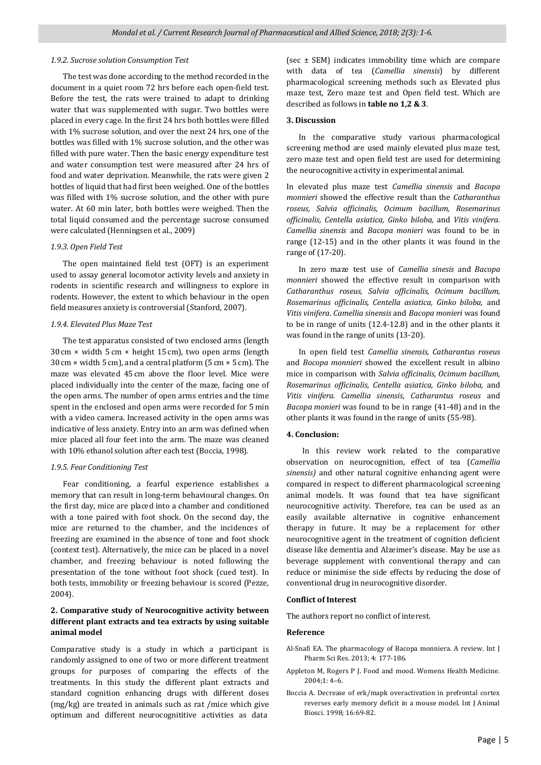#### *1.9.2. Sucrose solution Consumption Test*

 The test was done according to the method recorded in the document in a quiet room 72 hrs before each open-field test. Before the test, the rats were trained to adapt to drinking water that was supplemented with sugar. Two bottles were placed in every cage. In the first 24 hrs both bottles were filled with 1% sucrose solution, and over the next 24 hrs, one of the bottles was filled with 1% sucrose solution, and the other was filled with pure water. Then the basic energy expenditure test and water consumption test were measured after 24 hrs of food and water deprivation. Meanwhile, the rats were given 2 bottles of liquid that had first been weighed. One of the bottles was filled with 1% sucrose solution, and the other with pure water. At 60 min later, both bottles were weighed. Then the total liquid consumed and the percentage sucrose consumed were calculated (Henningsen et al., 2009)

# *1.9.3. Open Field Test*

 The open maintained field test (OFT) is an experiment used to assay general locomotor activity levels and anxiety in rodents in scientific research and willingness to explore in rodents. However, the extent to which behaviour in the open field measures anxiety is controversial (Stanford, 2007).

#### *1.9.4. Elevated Plus Maze Test*

 The test apparatus consisted of two enclosed arms (length 30 cm × width 5 cm × height 15 cm), two open arms (length 30 cm × width 5 cm), and a central platform (5 cm × 5 cm). The maze was elevated 45 cm above the floor level. Mice were placed individually into the center of the maze, facing one of the open arms. The number of open arms entries and the time spent in the enclosed and open arms were recorded for 5 min with a video camera. Increased activity in the open arms was indicative of less anxiety. Entry into an arm was defined when mice placed all four feet into the arm. The maze was cleaned with 10% ethanol solution after each test (Boccia, 1998).

#### *1.9.5. Fear Conditioning Test*

 Fear conditioning, a fearful experience establishes a memory that can result in long-term behavioural changes. On the first day, mice are placed into a chamber and conditioned with a tone paired with foot shock. On the second day, the mice are returned to the chamber, and the incidences of freezing are examined in the absence of tone and foot shock (context test). Alternatively, the mice can be placed in a novel chamber, and freezing behaviour is noted following the presentation of the tone without foot shock (cued test). In both tests, immobility or freezing behaviour is scored (Pezze, 2004).

# **2. Comparative study of Neurocognitive activity between different plant extracts and tea extracts by using suitable animal model**

Comparative study is a study in which a participant is randomly assigned to one of two or more different treatment groups for purposes of comparing the effects of the treatments. In this study the different plant extracts and standard cognition enhancing drugs with different doses (mg/kg) are treated in animals such as rat /mice which give optimum and different neurocognititive activities as data

(sec ± SEM) indicates immobility time which are compare with data of tea (*Camellia sinensis*) by different pharmacological screening methods such as Elevated plus maze test, Zero maze test and Open field test. Which are described as follows in **table no 1,2 & 3**.

#### **3. Discussion**

 In the comparative study various pharmacological screening method are used mainly elevated plus maze test, zero maze test and open field test are used for determining the neurocognitive activity in experimental animal.

In elevated plus maze test *Camellia sinensis* and *Bacopa monnieri* showed the effective result than the *Catharanthus roseus, Salvia officinalis, Ocimum bacillum, Rosemarinus officinalis, Centella asiatica, Ginko biloba,* and *Vitis vinifera*. *Camellia sinensis* and *Bacopa monieri* was found to be in range (12-15) and in the other plants it was found in the range of (17-20).

 In zero maze test use of *Camellia sinesis* and *Bacopa monnieri* showed the effective result in comparison with *Catharanthus roseus, Salvia officinalis, Ocimum bacillum, Rosemarinus officinalis, Centella asiatica, Ginko biloba,* and *Vitis vinifera*. *Camellia sinensis* and *Bacopa monieri* was found to be in range of units (12.4-12.8) and in the other plants it was found in the range of units (13-20).

 In open field test *Camellia sinensis, Catharantus roseus* and *Bocopa monnieri* showed the excellent result in albino mice in comparison with *Salvia officinalis, Ocimum bacillum, Rosemarinus officinalis, Centella asiatica, Ginko biloba,* and *Vitis vinifera*. *Camellia sinensis*, *Catharantus roseus* and *Bacopa monieri* was found to be in range (41-48) and in the other plants it was found in the range of units (55-98).

### **4. Conclusion:**

In this review work related to the comparative observation on neurocognition, effect of tea (*Camellia sinensis)* and other natural cognitive enhancing agent were compared in respect to different pharmacological screening animal models. It was found that tea have significant neurocognitive activity. Therefore, tea can be used as an easily available alternative in cognitive enhancement therapy in future. It may be a replacement for other neurocognitive agent in the treatment of cognition deficient disease like dementia and Alzeimer's disease. May be use as beverage supplement with conventional therapy and can reduce or minimise the side effects by reducing the dose of conventional drug in neurocognitive disorder.

#### **Conflict of Interest**

The authors report no conflict of interest.

## **Reference**

- Al-Snafi EA. The pharmacology of Bacopa monniera. A review. Int J Pharm Sci Res. 2013; 4: 177-186.
- Appleton M, Rogers P J. Food and mood. Womens Health Medicine. 2004;1: 4–6.
- Boccia A. Decrease of erk/mapk overactivation in prefrontal cortex reverses early memory deficit in a mouse model. Int J Animal Biosci. 1998; 16:69-82.